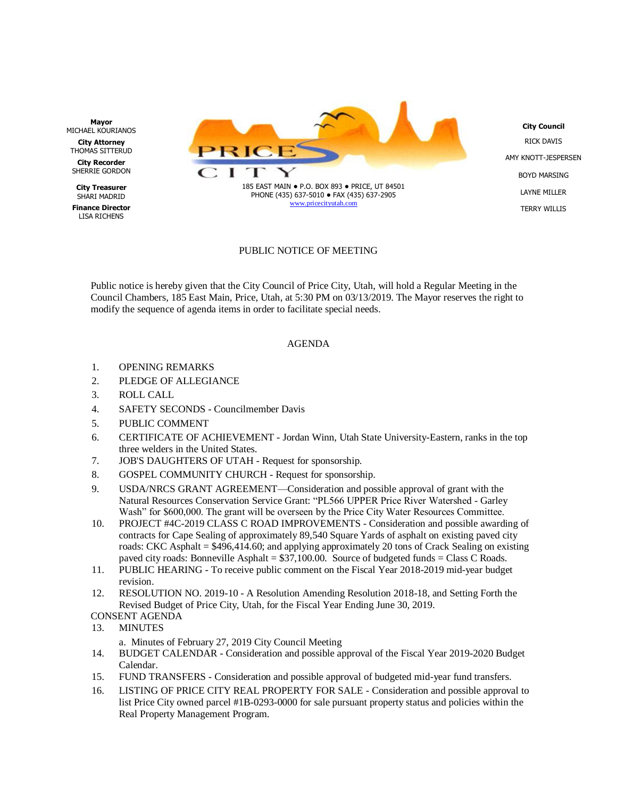**Mayor** MICHAEL KOURIANOS

**City Attorney** THOMAS SITTERUD **City Recorder**

SHERRIE GORDON

**City Treasurer** SHARI MADRID

**Finance Director** LISA RICHENS



**City Council** RICK DAVIS AMY KNOTT-JESPERSEN BOYD MARSING LAYNE MILLER TERRY WILLIS

## PUBLIC NOTICE OF MEETING

Public notice is hereby given that the City Council of Price City, Utah, will hold a Regular Meeting in the Council Chambers, 185 East Main, Price, Utah, at 5:30 PM on 03/13/2019. The Mayor reserves the right to modify the sequence of agenda items in order to facilitate special needs.

## AGENDA

- 1. OPENING REMARKS
- 2. PLEDGE OF ALLEGIANCE
- 3. ROLL CALL
- 4. SAFETY SECONDS Councilmember Davis
- 5. PUBLIC COMMENT
- 6. CERTIFICATE OF ACHIEVEMENT Jordan Winn, Utah State University-Eastern, ranks in the top three welders in the United States.
- 7. JOB'S DAUGHTERS OF UTAH Request for sponsorship.
- 8. GOSPEL COMMUNITY CHURCH Request for sponsorship.
- 9. USDA/NRCS GRANT AGREEMENT—Consideration and possible approval of grant with the Natural Resources Conservation Service Grant: "PL566 UPPER Price River Watershed - Garley Wash" for \$600,000. The grant will be overseen by the Price City Water Resources Committee.
- 10. PROJECT #4C-2019 CLASS C ROAD IMPROVEMENTS Consideration and possible awarding of contracts for Cape Sealing of approximately 89,540 Square Yards of asphalt on existing paved city roads: CKC Asphalt = \$496,414.60; and applying approximately 20 tons of Crack Sealing on existing paved city roads: Bonneville Asphalt = \$37,100.00. Source of budgeted funds = Class C Roads.
- 11. PUBLIC HEARING To receive public comment on the Fiscal Year 2018-2019 mid-year budget revision.
- 12. RESOLUTION NO. 2019-10 A Resolution Amending Resolution 2018-18, and Setting Forth the Revised Budget of Price City, Utah, for the Fiscal Year Ending June 30, 2019.
- CONSENT AGENDA
- 13. MINUTES
	- a. Minutes of February 27, 2019 City Council Meeting
- 14. BUDGET CALENDAR Consideration and possible approval of the Fiscal Year 2019-2020 Budget Calendar.
- 15. FUND TRANSFERS Consideration and possible approval of budgeted mid-year fund transfers.
- 16. LISTING OF PRICE CITY REAL PROPERTY FOR SALE Consideration and possible approval to list Price City owned parcel #1B-0293-0000 for sale pursuant property status and policies within the Real Property Management Program.